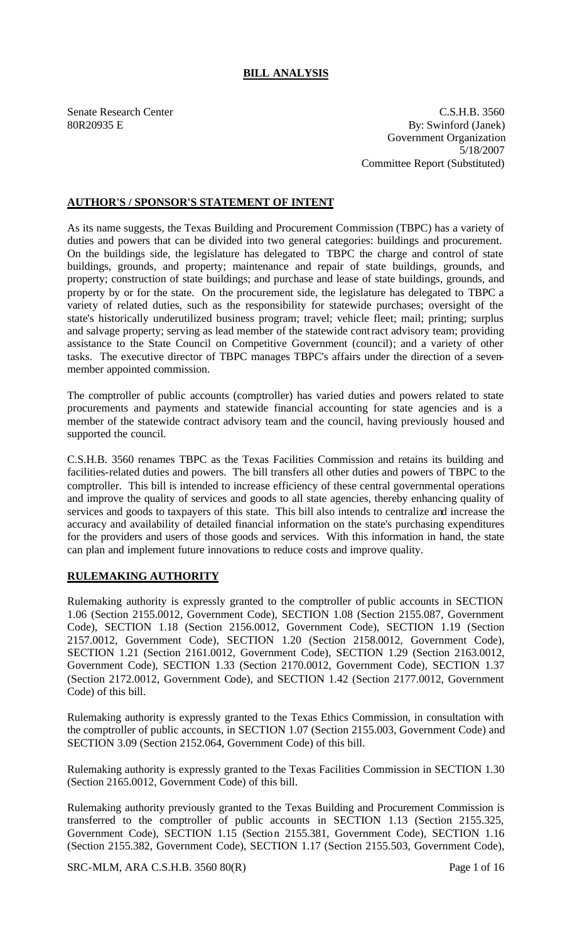# **BILL ANALYSIS**

Senate Research Center C.S.H.B. 3560 80R20935 E By: Swinford (Janek) Government Organization 5/18/2007 Committee Report (Substituted)

# **AUTHOR'S / SPONSOR'S STATEMENT OF INTENT**

As its name suggests, the Texas Building and Procurement Commission (TBPC) has a variety of duties and powers that can be divided into two general categories: buildings and procurement. On the buildings side, the legislature has delegated to TBPC the charge and control of state buildings, grounds, and property; maintenance and repair of state buildings, grounds, and property; construction of state buildings; and purchase and lease of state buildings, grounds, and property by or for the state. On the procurement side, the legislature has delegated to TBPC a variety of related duties, such as the responsibility for statewide purchases; oversight of the state's historically underutilized business program; travel; vehicle fleet; mail; printing; surplus and salvage property; serving as lead member of the statewide contract advisory team; providing assistance to the State Council on Competitive Government (council); and a variety of other tasks. The executive director of TBPC manages TBPC's affairs under the direction of a sevenmember appointed commission.

The comptroller of public accounts (comptroller) has varied duties and powers related to state procurements and payments and statewide financial accounting for state agencies and is a member of the statewide contract advisory team and the council, having previously housed and supported the council.

C.S.H.B. 3560 renames TBPC as the Texas Facilities Commission and retains its building and facilities-related duties and powers. The bill transfers all other duties and powers of TBPC to the comptroller. This bill is intended to increase efficiency of these central governmental operations and improve the quality of services and goods to all state agencies, thereby enhancing quality of services and goods to taxpayers of this state. This bill also intends to centralize and increase the accuracy and availability of detailed financial information on the state's purchasing expenditures for the providers and users of those goods and services. With this information in hand, the state can plan and implement future innovations to reduce costs and improve quality.

# **RULEMAKING AUTHORITY**

Rulemaking authority is expressly granted to the comptroller of public accounts in SECTION 1.06 (Section 2155.0012, Government Code), SECTION 1.08 (Section 2155.087, Government Code), SECTION 1.18 (Section 2156.0012, Government Code), SECTION 1.19 (Section 2157.0012, Government Code), SECTION 1.20 (Section 2158.0012, Government Code), SECTION 1.21 (Section 2161.0012, Government Code), SECTION 1.29 (Section 2163.0012, Government Code), SECTION 1.33 (Section 2170.0012, Government Code), SECTION 1.37 (Section 2172.0012, Government Code), and SECTION 1.42 (Section 2177.0012, Government Code) of this bill.

Rulemaking authority is expressly granted to the Texas Ethics Commission, in consultation with the comptroller of public accounts, in SECTION 1.07 (Section 2155.003, Government Code) and SECTION 3.09 (Section 2152.064, Government Code) of this bill.

Rulemaking authority is expressly granted to the Texas Facilities Commission in SECTION 1.30 (Section 2165.0012, Government Code) of this bill.

Rulemaking authority previously granted to the Texas Building and Procurement Commission is transferred to the comptroller of public accounts in SECTION 1.13 (Section 2155.325, Government Code), SECTION 1.15 (Section 2155.381, Government Code), SECTION 1.16 (Section 2155.382, Government Code), SECTION 1.17 (Section 2155.503, Government Code),

SRC-MLM, ARA C.S.H.B. 3560 80(R) Page 1 of 16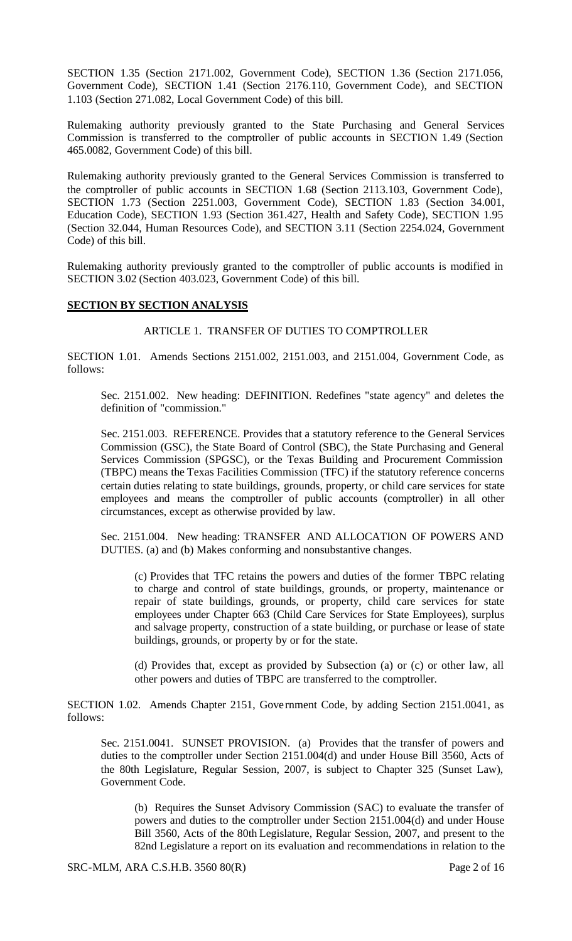SECTION 1.35 (Section 2171.002, Government Code), SECTION 1.36 (Section 2171.056, Government Code), SECTION 1.41 (Section 2176.110, Government Code), and SECTION 1.103 (Section 271.082, Local Government Code) of this bill.

Rulemaking authority previously granted to the State Purchasing and General Services Commission is transferred to the comptroller of public accounts in SECTION 1.49 (Section 465.0082, Government Code) of this bill.

Rulemaking authority previously granted to the General Services Commission is transferred to the comptroller of public accounts in SECTION 1.68 (Section 2113.103, Government Code), SECTION 1.73 (Section 2251.003, Government Code), SECTION 1.83 (Section 34.001, Education Code), SECTION 1.93 (Section 361.427, Health and Safety Code), SECTION 1.95 (Section 32.044, Human Resources Code), and SECTION 3.11 (Section 2254.024, Government Code) of this bill.

Rulemaking authority previously granted to the comptroller of public accounts is modified in SECTION 3.02 (Section 403.023, Government Code) of this bill.

### **SECTION BY SECTION ANALYSIS**

#### ARTICLE 1. TRANSFER OF DUTIES TO COMPTROLLER

SECTION 1.01. Amends Sections 2151.002, 2151.003, and 2151.004, Government Code, as follows:

Sec. 2151.002. New heading: DEFINITION. Redefines "state agency" and deletes the definition of "commission."

Sec. 2151.003. REFERENCE. Provides that a statutory reference to the General Services Commission (GSC), the State Board of Control (SBC), the State Purchasing and General Services Commission (SPGSC), or the Texas Building and Procurement Commission (TBPC) means the Texas Facilities Commission (TFC) if the statutory reference concerns certain duties relating to state buildings, grounds, property, or child care services for state employees and means the comptroller of public accounts (comptroller) in all other circumstances, except as otherwise provided by law.

Sec. 2151.004. New heading: TRANSFER AND ALLOCATION OF POWERS AND DUTIES. (a) and (b) Makes conforming and nonsubstantive changes.

(c) Provides that TFC retains the powers and duties of the former TBPC relating to charge and control of state buildings, grounds, or property, maintenance or repair of state buildings, grounds, or property, child care services for state employees under Chapter 663 (Child Care Services for State Employees), surplus and salvage property, construction of a state building, or purchase or lease of state buildings, grounds, or property by or for the state.

(d) Provides that, except as provided by Subsection (a) or (c) or other law, all other powers and duties of TBPC are transferred to the comptroller.

SECTION 1.02. Amends Chapter 2151, Gove rnment Code, by adding Section 2151.0041, as follows:

Sec. 2151.0041. SUNSET PROVISION. (a) Provides that the transfer of powers and duties to the comptroller under Section 2151.004(d) and under House Bill 3560, Acts of the 80th Legislature, Regular Session, 2007, is subject to Chapter 325 (Sunset Law), Government Code.

(b) Requires the Sunset Advisory Commission (SAC) to evaluate the transfer of powers and duties to the comptroller under Section 2151.004(d) and under House Bill 3560, Acts of the 80th Legislature, Regular Session, 2007, and present to the 82nd Legislature a report on its evaluation and recommendations in relation to the

SRC-MLM, ARA C.S.H.B. 3560 80(R) Page 2 of 16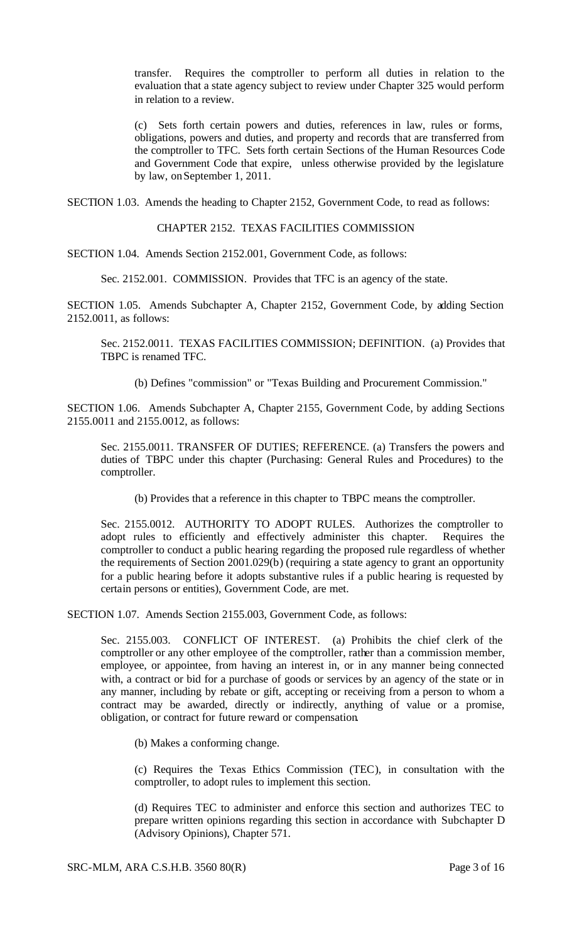transfer. Requires the comptroller to perform all duties in relation to the evaluation that a state agency subject to review under Chapter 325 would perform in relation to a review.

(c) Sets forth certain powers and duties, references in law, rules or forms, obligations, powers and duties, and property and records that are transferred from the comptroller to TFC. Sets forth certain Sections of the Human Resources Code and Government Code that expire, unless otherwise provided by the legislature by law, on September 1, 2011.

SECTION 1.03. Amends the heading to Chapter 2152, Government Code, to read as follows:

CHAPTER 2152. TEXAS FACILITIES COMMISSION

SECTION 1.04. Amends Section 2152.001, Government Code, as follows:

Sec. 2152.001. COMMISSION. Provides that TFC is an agency of the state.

SECTION 1.05. Amends Subchapter A, Chapter 2152, Government Code, by adding Section 2152.0011, as follows:

Sec. 2152.0011. TEXAS FACILITIES COMMISSION; DEFINITION. (a) Provides that TBPC is renamed TFC.

(b) Defines "commission" or "Texas Building and Procurement Commission."

SECTION 1.06. Amends Subchapter A, Chapter 2155, Government Code, by adding Sections 2155.0011 and 2155.0012, as follows:

Sec. 2155.0011. TRANSFER OF DUTIES; REFERENCE. (a) Transfers the powers and duties of TBPC under this chapter (Purchasing: General Rules and Procedures) to the comptroller.

(b) Provides that a reference in this chapter to TBPC means the comptroller.

Sec. 2155.0012. AUTHORITY TO ADOPT RULES. Authorizes the comptroller to adopt rules to efficiently and effectively administer this chapter. Requires the comptroller to conduct a public hearing regarding the proposed rule regardless of whether the requirements of Section 2001.029(b) (requiring a state agency to grant an opportunity for a public hearing before it adopts substantive rules if a public hearing is requested by certain persons or entities), Government Code, are met.

SECTION 1.07. Amends Section 2155.003, Government Code, as follows:

Sec. 2155.003. CONFLICT OF INTEREST. (a) Prohibits the chief clerk of the comptroller or any other employee of the comptroller, rather than a commission member, employee, or appointee, from having an interest in, or in any manner being connected with, a contract or bid for a purchase of goods or services by an agency of the state or in any manner, including by rebate or gift, accepting or receiving from a person to whom a contract may be awarded, directly or indirectly, anything of value or a promise, obligation, or contract for future reward or compensation.

(b) Makes a conforming change.

(c) Requires the Texas Ethics Commission (TEC), in consultation with the comptroller, to adopt rules to implement this section.

(d) Requires TEC to administer and enforce this section and authorizes TEC to prepare written opinions regarding this section in accordance with Subchapter D (Advisory Opinions), Chapter 571.

SRC-MLM, ARA C.S.H.B. 3560 80(R) Page 3 of 16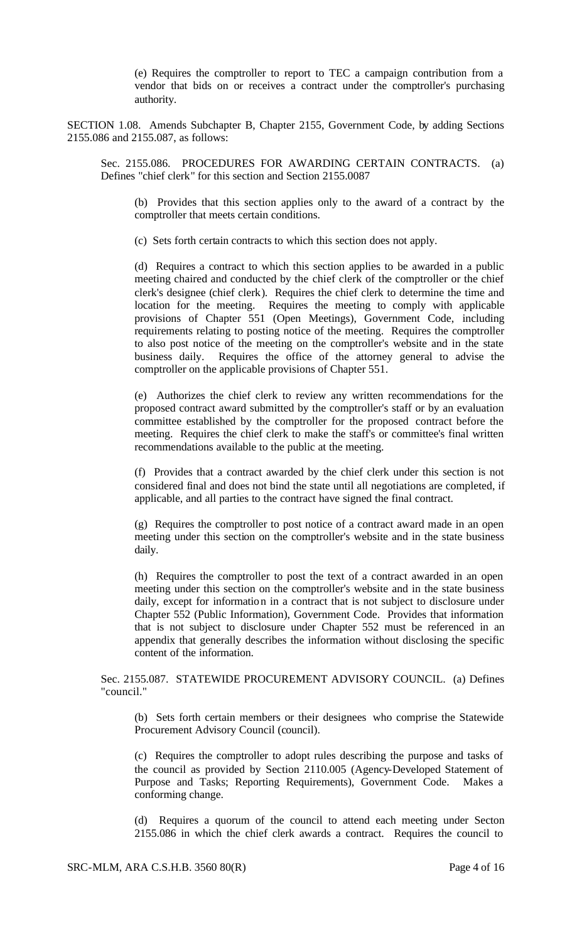(e) Requires the comptroller to report to TEC a campaign contribution from a vendor that bids on or receives a contract under the comptroller's purchasing authority.

SECTION 1.08. Amends Subchapter B, Chapter 2155, Government Code, by adding Sections 2155.086 and 2155.087, as follows:

Sec. 2155.086. PROCEDURES FOR AWARDING CERTAIN CONTRACTS. (a) Defines "chief clerk" for this section and Section 2155.0087

(b) Provides that this section applies only to the award of a contract by the comptroller that meets certain conditions.

(c) Sets forth certain contracts to which this section does not apply.

(d) Requires a contract to which this section applies to be awarded in a public meeting chaired and conducted by the chief clerk of the comptroller or the chief clerk's designee (chief clerk). Requires the chief clerk to determine the time and location for the meeting. Requires the meeting to comply with applicable provisions of Chapter 551 (Open Meetings), Government Code, including requirements relating to posting notice of the meeting. Requires the comptroller to also post notice of the meeting on the comptroller's website and in the state business daily. Requires the office of the attorney general to advise the comptroller on the applicable provisions of Chapter 551.

(e) Authorizes the chief clerk to review any written recommendations for the proposed contract award submitted by the comptroller's staff or by an evaluation committee established by the comptroller for the proposed contract before the meeting. Requires the chief clerk to make the staff's or committee's final written recommendations available to the public at the meeting.

(f) Provides that a contract awarded by the chief clerk under this section is not considered final and does not bind the state until all negotiations are completed, if applicable, and all parties to the contract have signed the final contract.

(g) Requires the comptroller to post notice of a contract award made in an open meeting under this section on the comptroller's website and in the state business daily.

(h) Requires the comptroller to post the text of a contract awarded in an open meeting under this section on the comptroller's website and in the state business daily, except for information in a contract that is not subject to disclosure under Chapter 552 (Public Information), Government Code. Provides that information that is not subject to disclosure under Chapter 552 must be referenced in an appendix that generally describes the information without disclosing the specific content of the information.

Sec. 2155.087. STATEWIDE PROCUREMENT ADVISORY COUNCIL. (a) Defines "council."

(b) Sets forth certain members or their designees who comprise the Statewide Procurement Advisory Council (council).

(c) Requires the comptroller to adopt rules describing the purpose and tasks of the council as provided by Section 2110.005 (Agency-Developed Statement of Purpose and Tasks; Reporting Requirements), Government Code. Makes a conforming change.

(d) Requires a quorum of the council to attend each meeting under Secton 2155.086 in which the chief clerk awards a contract. Requires the council to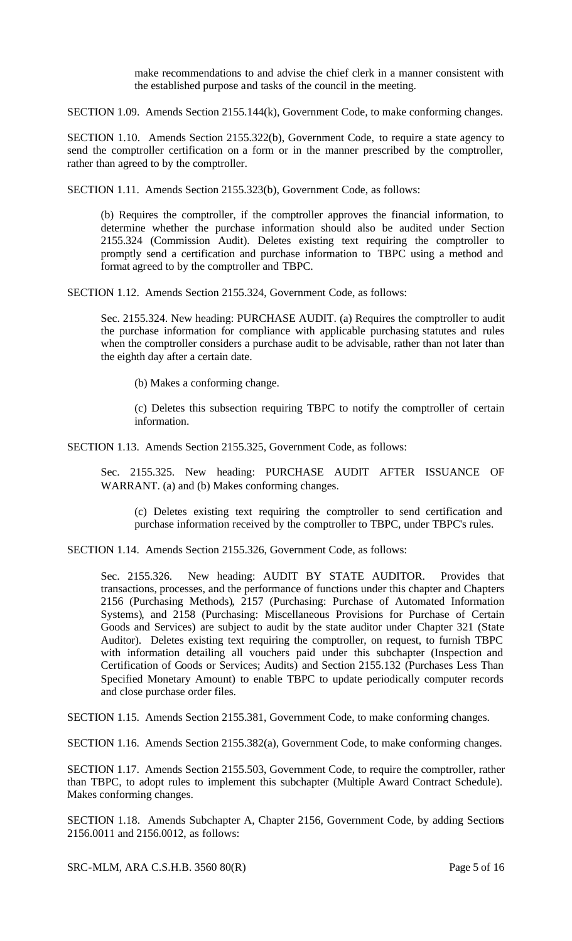make recommendations to and advise the chief clerk in a manner consistent with the established purpose and tasks of the council in the meeting.

SECTION 1.09. Amends Section 2155.144(k), Government Code, to make conforming changes.

SECTION 1.10. Amends Section 2155.322(b), Government Code, to require a state agency to send the comptroller certification on a form or in the manner prescribed by the comptroller, rather than agreed to by the comptroller.

SECTION 1.11. Amends Section 2155.323(b), Government Code, as follows:

(b) Requires the comptroller, if the comptroller approves the financial information, to determine whether the purchase information should also be audited under Section 2155.324 (Commission Audit). Deletes existing text requiring the comptroller to promptly send a certification and purchase information to TBPC using a method and format agreed to by the comptroller and TBPC.

SECTION 1.12. Amends Section 2155.324, Government Code, as follows:

Sec. 2155.324. New heading: PURCHASE AUDIT. (a) Requires the comptroller to audit the purchase information for compliance with applicable purchasing statutes and rules when the comptroller considers a purchase audit to be advisable, rather than not later than the eighth day after a certain date.

(b) Makes a conforming change.

(c) Deletes this subsection requiring TBPC to notify the comptroller of certain information.

SECTION 1.13. Amends Section 2155.325, Government Code, as follows:

Sec. 2155.325. New heading: PURCHASE AUDIT AFTER ISSUANCE OF WARRANT. (a) and (b) Makes conforming changes.

(c) Deletes existing text requiring the comptroller to send certification and purchase information received by the comptroller to TBPC, under TBPC's rules.

SECTION 1.14. Amends Section 2155.326, Government Code, as follows:

Sec. 2155.326. New heading: AUDIT BY STATE AUDITOR. Provides that transactions, processes, and the performance of functions under this chapter and Chapters 2156 (Purchasing Methods), 2157 (Purchasing: Purchase of Automated Information Systems), and 2158 (Purchasing: Miscellaneous Provisions for Purchase of Certain Goods and Services) are subject to audit by the state auditor under Chapter 321 (State Auditor). Deletes existing text requiring the comptroller, on request, to furnish TBPC with information detailing all vouchers paid under this subchapter (Inspection and Certification of Goods or Services; Audits) and Section 2155.132 (Purchases Less Than Specified Monetary Amount) to enable TBPC to update periodically computer records and close purchase order files.

SECTION 1.15. Amends Section 2155.381, Government Code, to make conforming changes.

SECTION 1.16. Amends Section 2155.382(a), Government Code, to make conforming changes.

SECTION 1.17. Amends Section 2155.503, Government Code, to require the comptroller, rather than TBPC, to adopt rules to implement this subchapter (Multiple Award Contract Schedule). Makes conforming changes.

SECTION 1.18. Amends Subchapter A, Chapter 2156, Government Code, by adding Sections 2156.0011 and 2156.0012, as follows:

SRC-MLM, ARA C.S.H.B. 3560 80(R) Page 5 of 16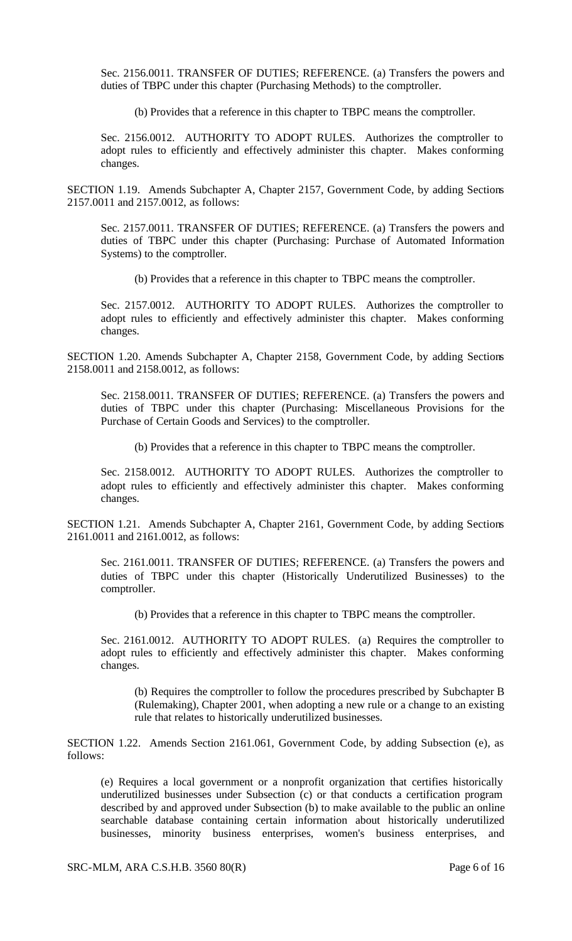Sec. 2156.0011. TRANSFER OF DUTIES; REFERENCE. (a) Transfers the powers and duties of TBPC under this chapter (Purchasing Methods) to the comptroller.

(b) Provides that a reference in this chapter to TBPC means the comptroller.

Sec. 2156.0012. AUTHORITY TO ADOPT RULES. Authorizes the comptroller to adopt rules to efficiently and effectively administer this chapter. Makes conforming changes.

SECTION 1.19. Amends Subchapter A, Chapter 2157, Government Code, by adding Sections 2157.0011 and 2157.0012, as follows:

Sec. 2157.0011. TRANSFER OF DUTIES; REFERENCE. (a) Transfers the powers and duties of TBPC under this chapter (Purchasing: Purchase of Automated Information Systems) to the comptroller.

(b) Provides that a reference in this chapter to TBPC means the comptroller.

Sec. 2157.0012. AUTHORITY TO ADOPT RULES. Authorizes the comptroller to adopt rules to efficiently and effectively administer this chapter. Makes conforming changes.

SECTION 1.20. Amends Subchapter A, Chapter 2158, Government Code, by adding Sections 2158.0011 and 2158.0012, as follows:

Sec. 2158.0011. TRANSFER OF DUTIES; REFERENCE. (a) Transfers the powers and duties of TBPC under this chapter (Purchasing: Miscellaneous Provisions for the Purchase of Certain Goods and Services) to the comptroller.

(b) Provides that a reference in this chapter to TBPC means the comptroller.

Sec. 2158.0012. AUTHORITY TO ADOPT RULES. Authorizes the comptroller to adopt rules to efficiently and effectively administer this chapter. Makes conforming changes.

SECTION 1.21. Amends Subchapter A, Chapter 2161, Government Code, by adding Sections 2161.0011 and 2161.0012, as follows:

Sec. 2161.0011. TRANSFER OF DUTIES; REFERENCE. (a) Transfers the powers and duties of TBPC under this chapter (Historically Underutilized Businesses) to the comptroller.

(b) Provides that a reference in this chapter to TBPC means the comptroller.

Sec. 2161.0012. AUTHORITY TO ADOPT RULES. (a) Requires the comptroller to adopt rules to efficiently and effectively administer this chapter. Makes conforming changes.

(b) Requires the comptroller to follow the procedures prescribed by Subchapter B (Rulemaking), Chapter 2001, when adopting a new rule or a change to an existing rule that relates to historically underutilized businesses.

SECTION 1.22. Amends Section 2161.061, Government Code, by adding Subsection (e), as follows:

(e) Requires a local government or a nonprofit organization that certifies historically underutilized businesses under Subsection (c) or that conducts a certification program described by and approved under Subsection (b) to make available to the public an online searchable database containing certain information about historically underutilized businesses, minority business enterprises, women's business enterprises, and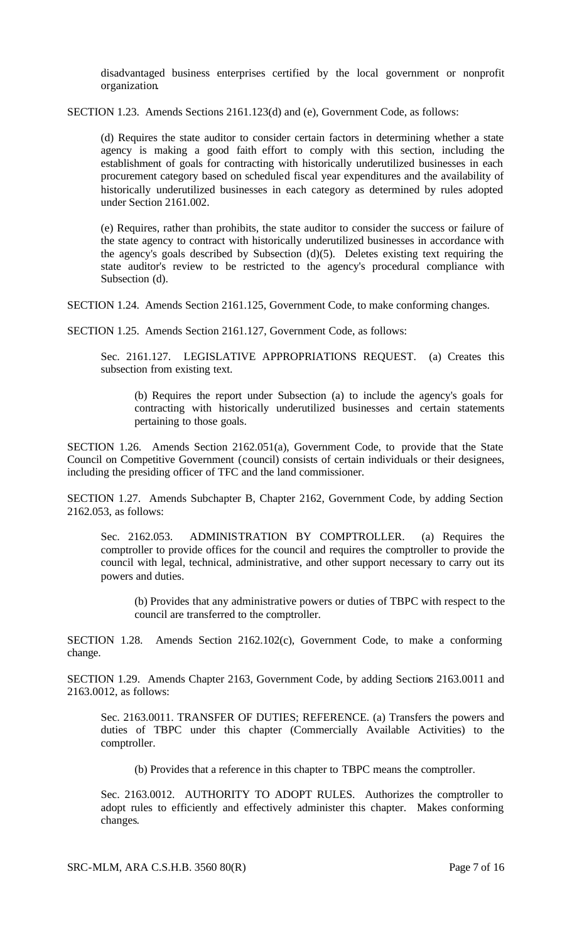disadvantaged business enterprises certified by the local government or nonprofit organization.

SECTION 1.23. Amends Sections 2161.123(d) and (e), Government Code, as follows:

(d) Requires the state auditor to consider certain factors in determining whether a state agency is making a good faith effort to comply with this section, including the establishment of goals for contracting with historically underutilized businesses in each procurement category based on scheduled fiscal year expenditures and the availability of historically underutilized businesses in each category as determined by rules adopted under Section 2161.002.

(e) Requires, rather than prohibits, the state auditor to consider the success or failure of the state agency to contract with historically underutilized businesses in accordance with the agency's goals described by Subsection  $(d)(5)$ . Deletes existing text requiring the state auditor's review to be restricted to the agency's procedural compliance with Subsection (d).

SECTION 1.24. Amends Section 2161.125, Government Code, to make conforming changes.

SECTION 1.25. Amends Section 2161.127, Government Code, as follows:

Sec. 2161.127. LEGISLATIVE APPROPRIATIONS REQUEST. (a) Creates this subsection from existing text.

(b) Requires the report under Subsection (a) to include the agency's goals for contracting with historically underutilized businesses and certain statements pertaining to those goals.

SECTION 1.26. Amends Section 2162.051(a), Government Code, to provide that the State Council on Competitive Government (council) consists of certain individuals or their designees, including the presiding officer of TFC and the land commissioner.

SECTION 1.27. Amends Subchapter B, Chapter 2162, Government Code, by adding Section 2162.053, as follows:

Sec. 2162.053. ADMINISTRATION BY COMPTROLLER. (a) Requires the comptroller to provide offices for the council and requires the comptroller to provide the council with legal, technical, administrative, and other support necessary to carry out its powers and duties.

(b) Provides that any administrative powers or duties of TBPC with respect to the council are transferred to the comptroller.

SECTION 1.28. Amends Section 2162.102(c), Government Code, to make a conforming change.

SECTION 1.29. Amends Chapter 2163, Government Code, by adding Sections 2163.0011 and 2163.0012, as follows:

Sec. 2163.0011. TRANSFER OF DUTIES; REFERENCE. (a) Transfers the powers and duties of TBPC under this chapter (Commercially Available Activities) to the comptroller.

(b) Provides that a reference in this chapter to TBPC means the comptroller.

Sec. 2163.0012. AUTHORITY TO ADOPT RULES. Authorizes the comptroller to adopt rules to efficiently and effectively administer this chapter. Makes conforming changes.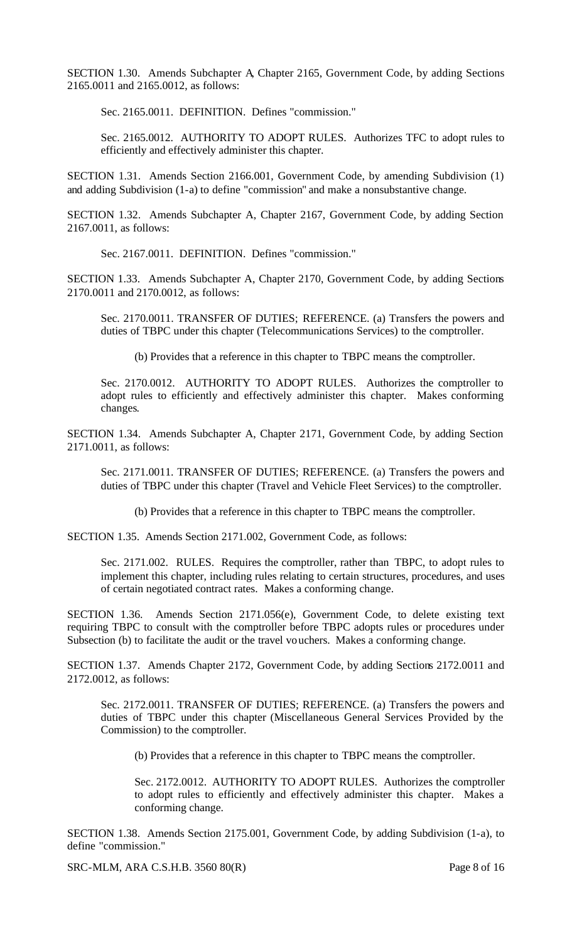SECTION 1.30. Amends Subchapter A, Chapter 2165, Government Code, by adding Sections 2165.0011 and 2165.0012, as follows:

Sec. 2165.0011. DEFINITION. Defines "commission."

Sec. 2165.0012. AUTHORITY TO ADOPT RULES. Authorizes TFC to adopt rules to efficiently and effectively administer this chapter.

SECTION 1.31. Amends Section 2166.001, Government Code, by amending Subdivision (1) and adding Subdivision (1-a) to define "commission" and make a nonsubstantive change.

SECTION 1.32. Amends Subchapter A, Chapter 2167, Government Code, by adding Section 2167.0011, as follows:

Sec. 2167.0011. DEFINITION. Defines "commission."

SECTION 1.33. Amends Subchapter A, Chapter 2170, Government Code, by adding Sections 2170.0011 and 2170.0012, as follows:

Sec. 2170.0011. TRANSFER OF DUTIES; REFERENCE. (a) Transfers the powers and duties of TBPC under this chapter (Telecommunications Services) to the comptroller.

(b) Provides that a reference in this chapter to TBPC means the comptroller.

Sec. 2170.0012. AUTHORITY TO ADOPT RULES. Authorizes the comptroller to adopt rules to efficiently and effectively administer this chapter. Makes conforming changes.

SECTION 1.34. Amends Subchapter A, Chapter 2171, Government Code, by adding Section 2171.0011, as follows:

Sec. 2171.0011. TRANSFER OF DUTIES; REFERENCE. (a) Transfers the powers and duties of TBPC under this chapter (Travel and Vehicle Fleet Services) to the comptroller.

(b) Provides that a reference in this chapter to TBPC means the comptroller.

SECTION 1.35. Amends Section 2171.002, Government Code, as follows:

Sec. 2171.002. RULES. Requires the comptroller, rather than TBPC, to adopt rules to implement this chapter, including rules relating to certain structures, procedures, and uses of certain negotiated contract rates. Makes a conforming change.

SECTION 1.36. Amends Section 2171.056(e), Government Code, to delete existing text requiring TBPC to consult with the comptroller before TBPC adopts rules or procedures under Subsection (b) to facilitate the audit or the travel vouchers. Makes a conforming change.

SECTION 1.37. Amends Chapter 2172, Government Code, by adding Sections 2172.0011 and 2172.0012, as follows:

Sec. 2172.0011. TRANSFER OF DUTIES; REFERENCE. (a) Transfers the powers and duties of TBPC under this chapter (Miscellaneous General Services Provided by the Commission) to the comptroller.

(b) Provides that a reference in this chapter to TBPC means the comptroller.

Sec. 2172.0012. AUTHORITY TO ADOPT RULES. Authorizes the comptroller to adopt rules to efficiently and effectively administer this chapter. Makes a conforming change.

SECTION 1.38. Amends Section 2175.001, Government Code, by adding Subdivision (1-a), to define "commission."

SRC-MLM, ARA C.S.H.B. 3560 80(R) Page 8 of 16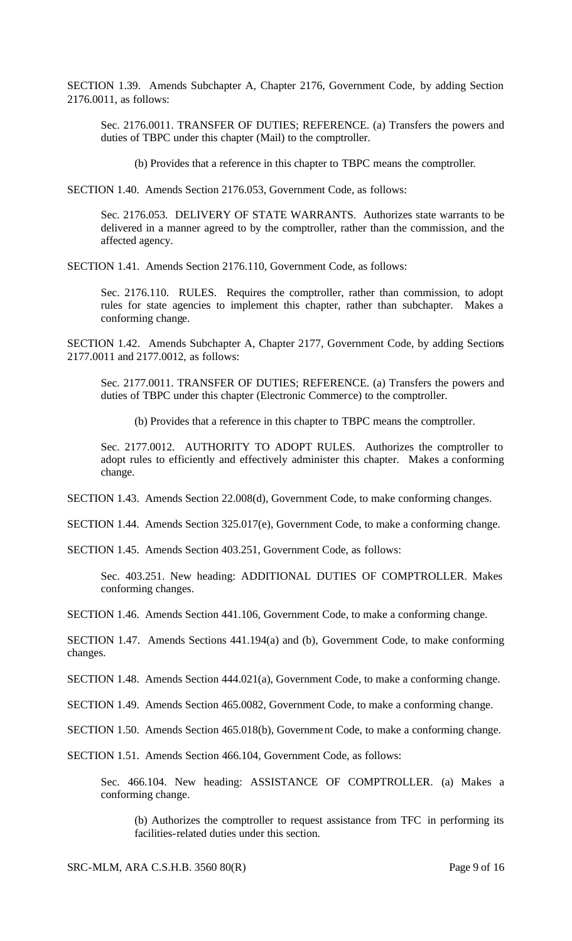SECTION 1.39. Amends Subchapter A, Chapter 2176, Government Code, by adding Section 2176.0011, as follows:

Sec. 2176.0011. TRANSFER OF DUTIES; REFERENCE. (a) Transfers the powers and duties of TBPC under this chapter (Mail) to the comptroller.

(b) Provides that a reference in this chapter to TBPC means the comptroller.

SECTION 1.40. Amends Section 2176.053, Government Code, as follows:

Sec. 2176.053. DELIVERY OF STATE WARRANTS. Authorizes state warrants to be delivered in a manner agreed to by the comptroller, rather than the commission, and the affected agency.

SECTION 1.41. Amends Section 2176.110, Government Code, as follows:

Sec. 2176.110. RULES. Requires the comptroller, rather than commission, to adopt rules for state agencies to implement this chapter, rather than subchapter. Makes a conforming change.

SECTION 1.42. Amends Subchapter A, Chapter 2177, Government Code, by adding Sections 2177.0011 and 2177.0012, as follows:

Sec. 2177.0011. TRANSFER OF DUTIES; REFERENCE. (a) Transfers the powers and duties of TBPC under this chapter (Electronic Commerce) to the comptroller.

(b) Provides that a reference in this chapter to TBPC means the comptroller.

Sec. 2177.0012. AUTHORITY TO ADOPT RULES. Authorizes the comptroller to adopt rules to efficiently and effectively administer this chapter. Makes a conforming change.

SECTION 1.43. Amends Section 22.008(d), Government Code, to make conforming changes.

SECTION 1.44. Amends Section 325.017(e), Government Code, to make a conforming change.

SECTION 1.45. Amends Section 403.251, Government Code, as follows:

Sec. 403.251. New heading: ADDITIONAL DUTIES OF COMPTROLLER. Makes conforming changes.

SECTION 1.46. Amends Section 441.106, Government Code, to make a conforming change.

SECTION 1.47. Amends Sections 441.194(a) and (b), Government Code, to make conforming changes.

SECTION 1.48. Amends Section 444.021(a), Government Code, to make a conforming change.

SECTION 1.49. Amends Section 465.0082, Government Code, to make a conforming change.

SECTION 1.50. Amends Section 465.018(b), Government Code, to make a conforming change.

SECTION 1.51. Amends Section 466.104, Government Code, as follows:

Sec. 466.104. New heading: ASSISTANCE OF COMPTROLLER. (a) Makes a conforming change.

(b) Authorizes the comptroller to request assistance from TFC in performing its facilities-related duties under this section.

SRC-MLM, ARA C.S.H.B. 3560 80(R) Page 9 of 16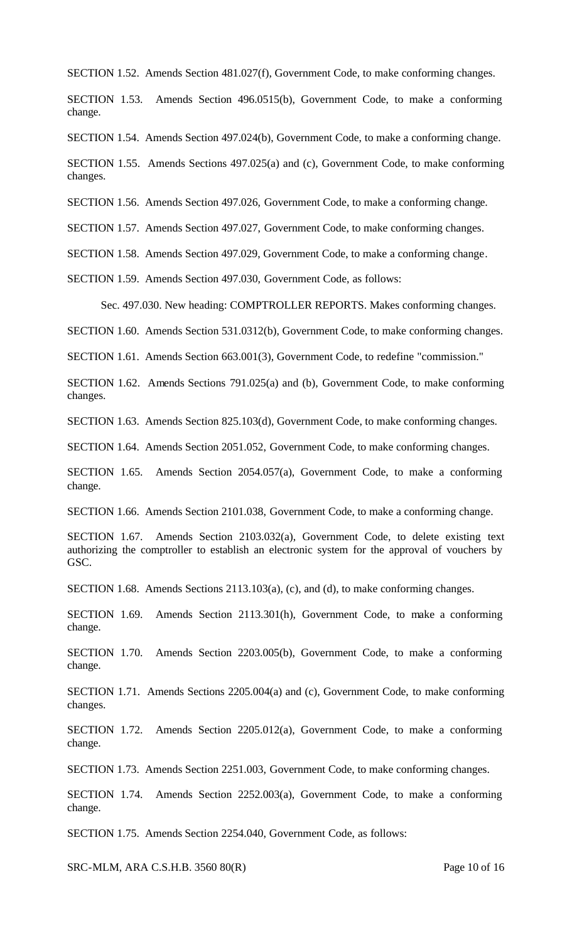SECTION 1.52. Amends Section 481.027(f), Government Code, to make conforming changes.

SECTION 1.53. Amends Section 496.0515(b), Government Code, to make a conforming change.

SECTION 1.54. Amends Section 497.024(b), Government Code, to make a conforming change.

SECTION 1.55. Amends Sections 497.025(a) and (c), Government Code, to make conforming changes.

SECTION 1.56. Amends Section 497.026, Government Code, to make a conforming change.

SECTION 1.57. Amends Section 497.027, Government Code, to make conforming changes.

SECTION 1.58. Amends Section 497.029, Government Code, to make a conforming change.

SECTION 1.59. Amends Section 497.030, Government Code, as follows:

Sec. 497.030. New heading: COMPTROLLER REPORTS. Makes conforming changes.

SECTION 1.60. Amends Section 531.0312(b), Government Code, to make conforming changes.

SECTION 1.61. Amends Section 663.001(3), Government Code, to redefine "commission."

SECTION 1.62. Amends Sections 791.025(a) and (b), Government Code, to make conforming changes.

SECTION 1.63. Amends Section 825.103(d), Government Code, to make conforming changes.

SECTION 1.64. Amends Section 2051.052, Government Code, to make conforming changes.

SECTION 1.65. Amends Section 2054.057(a), Government Code, to make a conforming change.

SECTION 1.66. Amends Section 2101.038, Government Code, to make a conforming change.

SECTION 1.67. Amends Section 2103.032(a), Government Code, to delete existing text authorizing the comptroller to establish an electronic system for the approval of vouchers by GSC.

SECTION 1.68. Amends Sections 2113.103(a), (c), and (d), to make conforming changes.

SECTION 1.69. Amends Section 2113.301(h), Government Code, to make a conforming change.

SECTION 1.70. Amends Section 2203.005(b), Government Code, to make a conforming change.

SECTION 1.71. Amends Sections 2205.004(a) and (c), Government Code, to make conforming changes.

SECTION 1.72. Amends Section 2205.012(a), Government Code, to make a conforming change.

SECTION 1.73. Amends Section 2251.003, Government Code, to make conforming changes.

SECTION 1.74. Amends Section 2252.003(a), Government Code, to make a conforming change.

SECTION 1.75. Amends Section 2254.040, Government Code, as follows:

SRC-MLM, ARA C.S.H.B. 3560 80(R) Page 10 of 16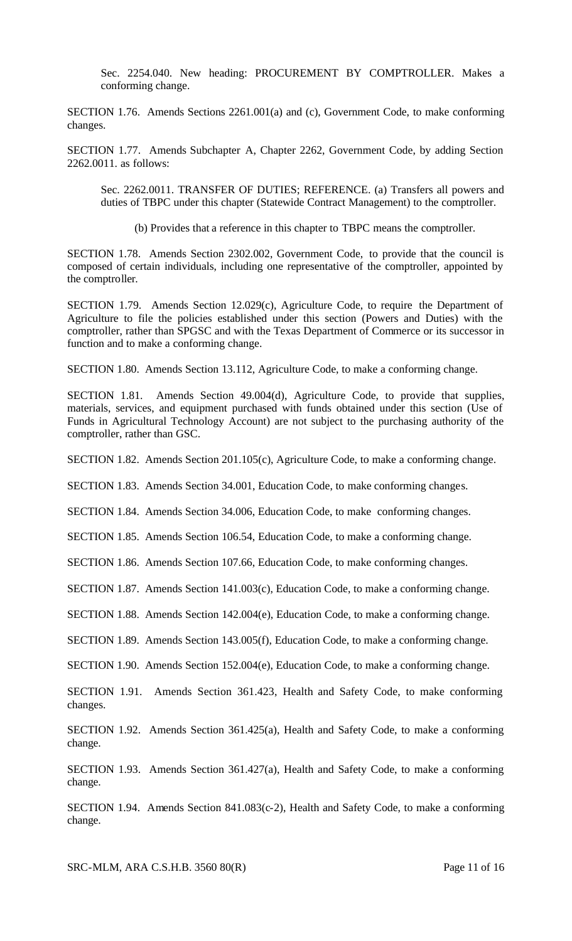Sec. 2254.040. New heading: PROCUREMENT BY COMPTROLLER. Makes a conforming change.

SECTION 1.76. Amends Sections 2261.001(a) and (c), Government Code, to make conforming changes.

SECTION 1.77. Amends Subchapter A, Chapter 2262, Government Code, by adding Section 2262.0011. as follows:

Sec. 2262.0011. TRANSFER OF DUTIES; REFERENCE. (a) Transfers all powers and duties of TBPC under this chapter (Statewide Contract Management) to the comptroller.

(b) Provides that a reference in this chapter to TBPC means the comptroller.

SECTION 1.78. Amends Section 2302.002, Government Code, to provide that the council is composed of certain individuals, including one representative of the comptroller, appointed by the comptroller.

SECTION 1.79. Amends Section 12.029(c), Agriculture Code, to require the Department of Agriculture to file the policies established under this section (Powers and Duties) with the comptroller, rather than SPGSC and with the Texas Department of Commerce or its successor in function and to make a conforming change.

SECTION 1.80. Amends Section 13.112, Agriculture Code, to make a conforming change.

SECTION 1.81. Amends Section 49.004(d), Agriculture Code, to provide that supplies, materials, services, and equipment purchased with funds obtained under this section (Use of Funds in Agricultural Technology Account) are not subject to the purchasing authority of the comptroller, rather than GSC.

SECTION 1.82. Amends Section 201.105(c), Agriculture Code, to make a conforming change.

SECTION 1.83. Amends Section 34.001, Education Code, to make conforming changes.

SECTION 1.84. Amends Section 34.006, Education Code, to make conforming changes.

SECTION 1.85. Amends Section 106.54, Education Code, to make a conforming change.

SECTION 1.86. Amends Section 107.66, Education Code, to make conforming changes.

SECTION 1.87. Amends Section 141.003(c), Education Code, to make a conforming change.

SECTION 1.88. Amends Section 142.004(e), Education Code, to make a conforming change.

SECTION 1.89. Amends Section 143.005(f), Education Code, to make a conforming change.

SECTION 1.90. Amends Section 152.004(e), Education Code, to make a conforming change.

SECTION 1.91. Amends Section 361.423, Health and Safety Code, to make conforming changes.

SECTION 1.92. Amends Section 361.425(a), Health and Safety Code, to make a conforming change.

SECTION 1.93. Amends Section 361.427(a), Health and Safety Code, to make a conforming change.

SECTION 1.94. Amends Section 841.083(c-2), Health and Safety Code, to make a conforming change.

SRC-MLM, ARA C.S.H.B. 3560 80(R) Page 11 of 16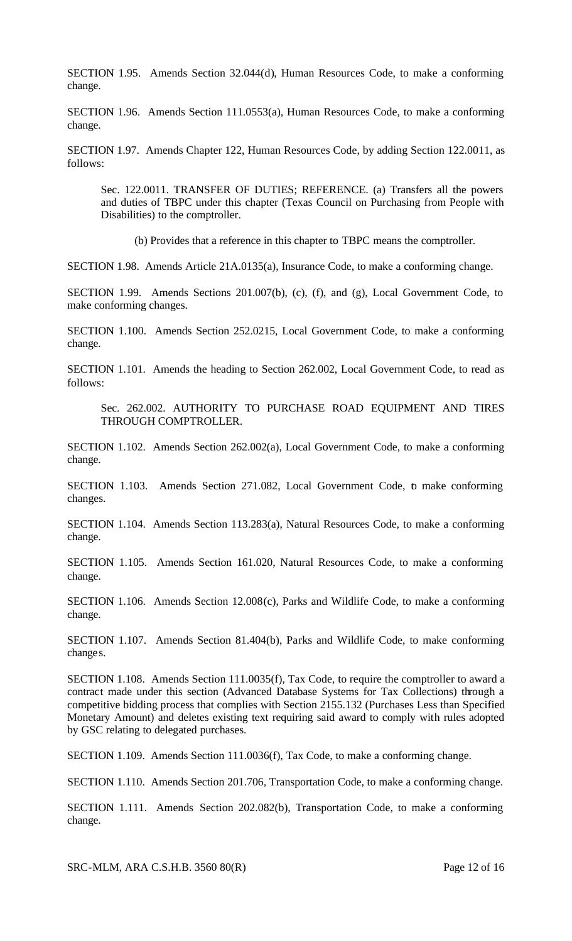SECTION 1.95. Amends Section 32.044(d), Human Resources Code, to make a conforming change.

SECTION 1.96. Amends Section 111.0553(a), Human Resources Code, to make a conforming change.

SECTION 1.97. Amends Chapter 122, Human Resources Code, by adding Section 122.0011, as follows:

Sec. 122.0011. TRANSFER OF DUTIES; REFERENCE. (a) Transfers all the powers and duties of TBPC under this chapter (Texas Council on Purchasing from People with Disabilities) to the comptroller.

(b) Provides that a reference in this chapter to TBPC means the comptroller.

SECTION 1.98. Amends Article 21A.0135(a), Insurance Code, to make a conforming change.

SECTION 1.99. Amends Sections 201.007(b), (c), (f), and (g), Local Government Code, to make conforming changes.

SECTION 1.100. Amends Section 252.0215, Local Government Code, to make a conforming change.

SECTION 1.101. Amends the heading to Section 262.002, Local Government Code, to read as follows:

Sec. 262.002. AUTHORITY TO PURCHASE ROAD EQUIPMENT AND TIRES THROUGH COMPTROLLER.

SECTION 1.102. Amends Section 262.002(a), Local Government Code, to make a conforming change.

SECTION 1.103. Amends Section 271.082, Local Government Code, to make conforming changes.

SECTION 1.104. Amends Section 113.283(a), Natural Resources Code, to make a conforming change.

SECTION 1.105. Amends Section 161.020, Natural Resources Code, to make a conforming change.

SECTION 1.106. Amends Section 12.008(c), Parks and Wildlife Code, to make a conforming change.

SECTION 1.107. Amends Section 81.404(b), Parks and Wildlife Code, to make conforming changes.

SECTION 1.108. Amends Section 111.0035(f), Tax Code, to require the comptroller to award a contract made under this section (Advanced Database Systems for Tax Collections) through a competitive bidding process that complies with Section 2155.132 (Purchases Less than Specified Monetary Amount) and deletes existing text requiring said award to comply with rules adopted by GSC relating to delegated purchases.

SECTION 1.109. Amends Section 111.0036(f), Tax Code, to make a conforming change.

SECTION 1.110. Amends Section 201.706, Transportation Code, to make a conforming change.

SECTION 1.111. Amends Section 202.082(b), Transportation Code, to make a conforming change.

SRC-MLM, ARA C.S.H.B. 3560 80(R) Page 12 of 16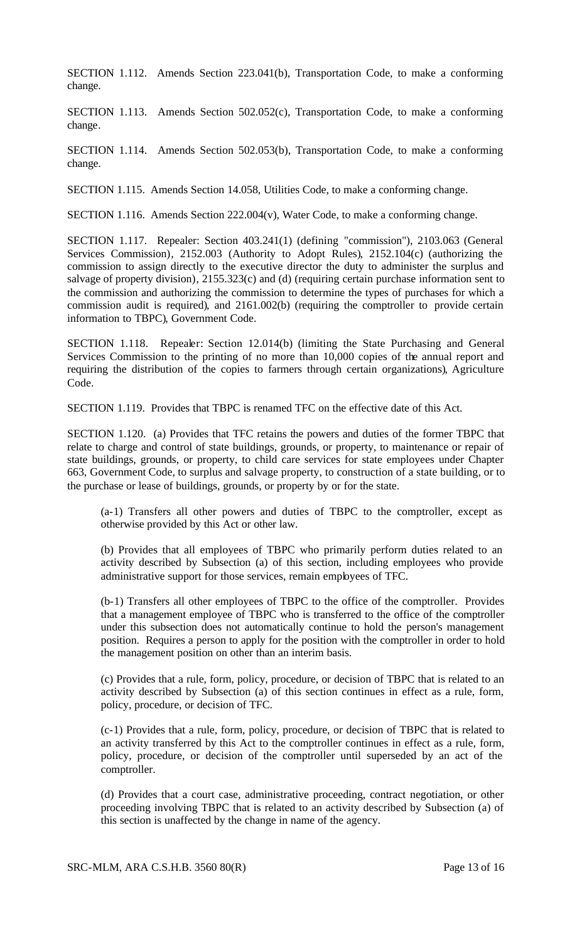SECTION 1.112. Amends Section 223.041(b), Transportation Code, to make a conforming change.

SECTION 1.113. Amends Section 502.052(c), Transportation Code, to make a conforming change.

SECTION 1.114. Amends Section 502.053(b), Transportation Code, to make a conforming change.

SECTION 1.115. Amends Section 14.058, Utilities Code, to make a conforming change.

SECTION 1.116. Amends Section 222.004(v), Water Code, to make a conforming change.

SECTION 1.117. Repealer: Section 403.241(1) (defining "commission"), 2103.063 (General Services Commission), 2152.003 (Authority to Adopt Rules), 2152.104(c) (authorizing the commission to assign directly to the executive director the duty to administer the surplus and salvage of property division), 2155.323(c) and (d) (requiring certain purchase information sent to the commission and authorizing the commission to determine the types of purchases for which a commission audit is required), and 2161.002(b) (requiring the comptroller to provide certain information to TBPC), Government Code.

SECTION 1.118. Repealer: Section 12.014(b) (limiting the State Purchasing and General Services Commission to the printing of no more than 10,000 copies of the annual report and requiring the distribution of the copies to farmers through certain organizations), Agriculture Code.

SECTION 1.119. Provides that TBPC is renamed TFC on the effective date of this Act.

SECTION 1.120. (a) Provides that TFC retains the powers and duties of the former TBPC that relate to charge and control of state buildings, grounds, or property, to maintenance or repair of state buildings, grounds, or property, to child care services for state employees under Chapter 663, Government Code, to surplus and salvage property, to construction of a state building, or to the purchase or lease of buildings, grounds, or property by or for the state.

(a-1) Transfers all other powers and duties of TBPC to the comptroller, except as otherwise provided by this Act or other law.

(b) Provides that all employees of TBPC who primarily perform duties related to an activity described by Subsection (a) of this section, including employees who provide administrative support for those services, remain employees of TFC.

(b-1) Transfers all other employees of TBPC to the office of the comptroller. Provides that a management employee of TBPC who is transferred to the office of the comptroller under this subsection does not automatically continue to hold the person's management position. Requires a person to apply for the position with the comptroller in order to hold the management position on other than an interim basis.

(c) Provides that a rule, form, policy, procedure, or decision of TBPC that is related to an activity described by Subsection (a) of this section continues in effect as a rule, form, policy, procedure, or decision of TFC.

(c-1) Provides that a rule, form, policy, procedure, or decision of TBPC that is related to an activity transferred by this Act to the comptroller continues in effect as a rule, form, policy, procedure, or decision of the comptroller until superseded by an act of the comptroller.

(d) Provides that a court case, administrative proceeding, contract negotiation, or other proceeding involving TBPC that is related to an activity described by Subsection (a) of this section is unaffected by the change in name of the agency.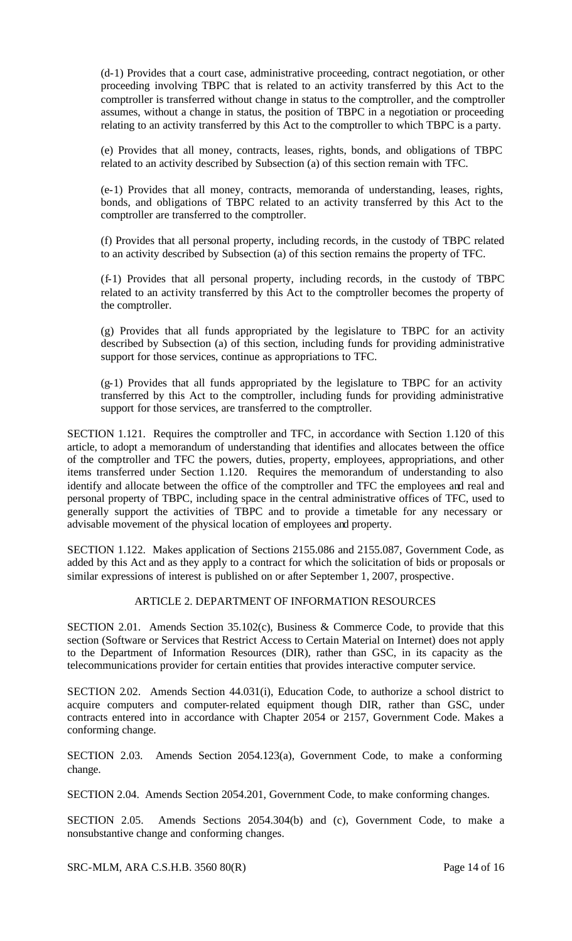(d-1) Provides that a court case, administrative proceeding, contract negotiation, or other proceeding involving TBPC that is related to an activity transferred by this Act to the comptroller is transferred without change in status to the comptroller, and the comptroller assumes, without a change in status, the position of TBPC in a negotiation or proceeding relating to an activity transferred by this Act to the comptroller to which TBPC is a party.

(e) Provides that all money, contracts, leases, rights, bonds, and obligations of TBPC related to an activity described by Subsection (a) of this section remain with TFC.

(e-1) Provides that all money, contracts, memoranda of understanding, leases, rights, bonds, and obligations of TBPC related to an activity transferred by this Act to the comptroller are transferred to the comptroller.

(f) Provides that all personal property, including records, in the custody of TBPC related to an activity described by Subsection (a) of this section remains the property of TFC.

(f-1) Provides that all personal property, including records, in the custody of TBPC related to an activity transferred by this Act to the comptroller becomes the property of the comptroller.

(g) Provides that all funds appropriated by the legislature to TBPC for an activity described by Subsection (a) of this section, including funds for providing administrative support for those services, continue as appropriations to TFC.

(g-1) Provides that all funds appropriated by the legislature to TBPC for an activity transferred by this Act to the comptroller, including funds for providing administrative support for those services, are transferred to the comptroller.

SECTION 1.121. Requires the comptroller and TFC, in accordance with Section 1.120 of this article, to adopt a memorandum of understanding that identifies and allocates between the office of the comptroller and TFC the powers, duties, property, employees, appropriations, and other items transferred under Section 1.120. Requires the memorandum of understanding to also identify and allocate between the office of the comptroller and TFC the employees and real and personal property of TBPC, including space in the central administrative offices of TFC, used to generally support the activities of TBPC and to provide a timetable for any necessary or advisable movement of the physical location of employees and property.

SECTION 1.122. Makes application of Sections 2155.086 and 2155.087, Government Code, as added by this Act and as they apply to a contract for which the solicitation of bids or proposals or similar expressions of interest is published on or after September 1, 2007, prospective.

# ARTICLE 2. DEPARTMENT OF INFORMATION RESOURCES

SECTION 2.01. Amends Section 35.102(c), Business & Commerce Code, to provide that this section (Software or Services that Restrict Access to Certain Material on Internet) does not apply to the Department of Information Resources (DIR), rather than GSC, in its capacity as the telecommunications provider for certain entities that provides interactive computer service.

SECTION 2.02. Amends Section 44.031(i), Education Code, to authorize a school district to acquire computers and computer-related equipment though DIR, rather than GSC, under contracts entered into in accordance with Chapter 2054 or 2157, Government Code. Makes a conforming change.

SECTION 2.03. Amends Section 2054.123(a), Government Code, to make a conforming change.

SECTION 2.04. Amends Section 2054.201, Government Code, to make conforming changes.

SECTION 2.05. Amends Sections 2054.304(b) and (c), Government Code, to make a nonsubstantive change and conforming changes.

SRC-MLM, ARA C.S.H.B. 3560 80(R) Page 14 of 16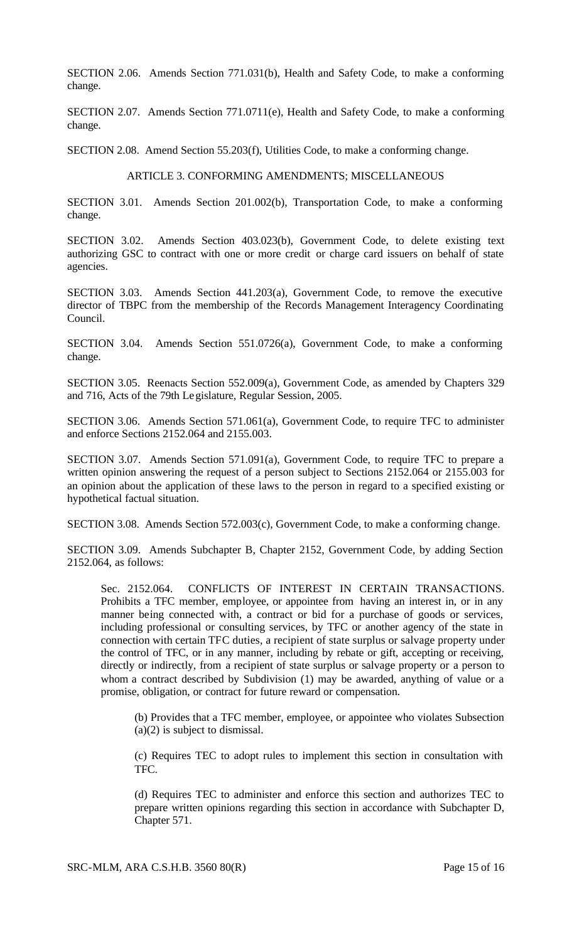SECTION 2.06. Amends Section 771.031(b), Health and Safety Code, to make a conforming change.

SECTION 2.07. Amends Section 771.0711(e), Health and Safety Code, to make a conforming change.

SECTION 2.08. Amend Section 55.203(f), Utilities Code, to make a conforming change.

### ARTICLE 3. CONFORMING AMENDMENTS; MISCELLANEOUS

SECTION 3.01. Amends Section 201.002(b), Transportation Code, to make a conforming change.

SECTION 3.02. Amends Section 403.023(b), Government Code, to delete existing text authorizing GSC to contract with one or more credit or charge card issuers on behalf of state agencies.

SECTION 3.03. Amends Section 441.203(a), Government Code, to remove the executive director of TBPC from the membership of the Records Management Interagency Coordinating Council.

SECTION 3.04. Amends Section 551.0726(a), Government Code, to make a conforming change.

SECTION 3.05. Reenacts Section 552.009(a), Government Code, as amended by Chapters 329 and 716, Acts of the 79th Legislature, Regular Session, 2005.

SECTION 3.06. Amends Section 571.061(a), Government Code, to require TFC to administer and enforce Sections 2152.064 and 2155.003.

SECTION 3.07. Amends Section 571.091(a), Government Code, to require TFC to prepare a written opinion answering the request of a person subject to Sections 2152.064 or 2155.003 for an opinion about the application of these laws to the person in regard to a specified existing or hypothetical factual situation.

SECTION 3.08. Amends Section 572.003(c), Government Code, to make a conforming change.

SECTION 3.09. Amends Subchapter B, Chapter 2152, Government Code, by adding Section 2152.064, as follows:

Sec. 2152.064. CONFLICTS OF INTEREST IN CERTAIN TRANSACTIONS. Prohibits a TFC member, employee, or appointee from having an interest in, or in any manner being connected with, a contract or bid for a purchase of goods or services, including professional or consulting services, by TFC or another agency of the state in connection with certain TFC duties, a recipient of state surplus or salvage property under the control of TFC, or in any manner, including by rebate or gift, accepting or receiving, directly or indirectly, from a recipient of state surplus or salvage property or a person to whom a contract described by Subdivision (1) may be awarded, anything of value or a promise, obligation, or contract for future reward or compensation.

(b) Provides that a TFC member, employee, or appointee who violates Subsection (a)(2) is subject to dismissal.

(c) Requires TEC to adopt rules to implement this section in consultation with TFC.

(d) Requires TEC to administer and enforce this section and authorizes TEC to prepare written opinions regarding this section in accordance with Subchapter D, Chapter 571.